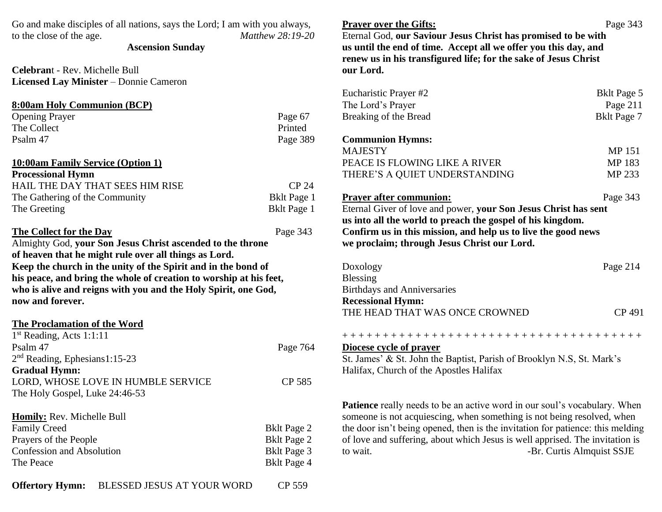| Go and make disciples of all nations, says the Lord; I am with you always,<br>to the close of the age.<br><b>Ascension Sunday</b> | Matthew 28:19-20   | <b>Prayer over the Gifts:</b><br>Eternal God, our Saviour Jesus Christ has promised to be with<br>us until the end of time. Accept all we offer you this day, and<br>renew us in his transfigured life; for the sake of Jesus Christ | Page 343                  |
|-----------------------------------------------------------------------------------------------------------------------------------|--------------------|--------------------------------------------------------------------------------------------------------------------------------------------------------------------------------------------------------------------------------------|---------------------------|
| Celebrant - Rev. Michelle Bull                                                                                                    |                    | our Lord.                                                                                                                                                                                                                            |                           |
| <b>Licensed Lay Minister - Donnie Cameron</b>                                                                                     |                    |                                                                                                                                                                                                                                      |                           |
|                                                                                                                                   |                    | Eucharistic Prayer #2                                                                                                                                                                                                                | <b>Bklt Page 5</b>        |
| 8:00am Holy Communion (BCP)                                                                                                       |                    | The Lord's Prayer                                                                                                                                                                                                                    | Page 211                  |
| <b>Opening Prayer</b>                                                                                                             | Page 67            | Breaking of the Bread                                                                                                                                                                                                                | <b>Bklt Page 7</b>        |
| The Collect                                                                                                                       | Printed            |                                                                                                                                                                                                                                      |                           |
| Psalm 47                                                                                                                          | Page 389           | <b>Communion Hymns:</b>                                                                                                                                                                                                              |                           |
|                                                                                                                                   |                    | <b>MAJESTY</b>                                                                                                                                                                                                                       | MP 151                    |
| <b>10:00am Family Service (Option 1)</b>                                                                                          |                    | PEACE IS FLOWING LIKE A RIVER                                                                                                                                                                                                        | MP 183                    |
| <b>Processional Hymn</b>                                                                                                          |                    | THERE'S A QUIET UNDERSTANDING                                                                                                                                                                                                        | MP 233                    |
| HAIL THE DAY THAT SEES HIM RISE                                                                                                   | CP 24              |                                                                                                                                                                                                                                      |                           |
| The Gathering of the Community                                                                                                    | <b>Bklt Page 1</b> | <b>Prayer after communion:</b>                                                                                                                                                                                                       | Page 343                  |
| The Greeting                                                                                                                      | <b>Bklt Page 1</b> | Eternal Giver of love and power, your Son Jesus Christ has sent                                                                                                                                                                      |                           |
|                                                                                                                                   |                    | us into all the world to preach the gospel of his kingdom.                                                                                                                                                                           |                           |
| The Collect for the Day<br>Page 343                                                                                               |                    | Confirm us in this mission, and help us to live the good news                                                                                                                                                                        |                           |
| Almighty God, your Son Jesus Christ ascended to the throne                                                                        |                    | we proclaim; through Jesus Christ our Lord.                                                                                                                                                                                          |                           |
| of heaven that he might rule over all things as Lord.                                                                             |                    |                                                                                                                                                                                                                                      |                           |
| Keep the church in the unity of the Spirit and in the bond of                                                                     |                    | Doxology                                                                                                                                                                                                                             | Page 214                  |
| his peace, and bring the whole of creation to worship at his feet,                                                                |                    | <b>Blessing</b>                                                                                                                                                                                                                      |                           |
| who is alive and reigns with you and the Holy Spirit, one God,                                                                    |                    | <b>Birthdays and Anniversaries</b>                                                                                                                                                                                                   |                           |
| now and forever.                                                                                                                  |                    | <b>Recessional Hymn:</b>                                                                                                                                                                                                             |                           |
|                                                                                                                                   |                    | THE HEAD THAT WAS ONCE CROWNED                                                                                                                                                                                                       | CP 491                    |
| <b>The Proclamation of the Word</b>                                                                                               |                    |                                                                                                                                                                                                                                      |                           |
| $1st$ Reading, Acts 1:1:11                                                                                                        |                    | ++++++++++++++++++++++++++++++++++++++                                                                                                                                                                                               |                           |
| Psalm 47                                                                                                                          | Page 764           | Diocese cycle of prayer                                                                                                                                                                                                              |                           |
| $2nd$ Reading, Ephesians1:15-23                                                                                                   |                    | St. James' & St. John the Baptist, Parish of Brooklyn N.S, St. Mark's                                                                                                                                                                |                           |
| <b>Gradual Hymn:</b>                                                                                                              |                    | Halifax, Church of the Apostles Halifax                                                                                                                                                                                              |                           |
| LORD, WHOSE LOVE IN HUMBLE SERVICE                                                                                                | CP 585             |                                                                                                                                                                                                                                      |                           |
| The Holy Gospel, Luke 24:46-53                                                                                                    |                    |                                                                                                                                                                                                                                      |                           |
|                                                                                                                                   |                    | <b>Patience</b> really needs to be an active word in our soul's vocabulary. When                                                                                                                                                     |                           |
| Homily: Rev. Michelle Bull                                                                                                        |                    | someone is not acquiescing, when something is not being resolved, when                                                                                                                                                               |                           |
| <b>Family Creed</b>                                                                                                               | <b>Bklt Page 2</b> | the door isn't being opened, then is the invitation for patience: this melding                                                                                                                                                       |                           |
| Prayers of the People                                                                                                             | <b>Bklt Page 2</b> | of love and suffering, about which Jesus is well apprised. The invitation is                                                                                                                                                         |                           |
| <b>Confession and Absolution</b>                                                                                                  | <b>Bklt Page 3</b> | to wait.                                                                                                                                                                                                                             | -Br. Curtis Almquist SSJE |
| The Peace                                                                                                                         | <b>Bklt Page 4</b> |                                                                                                                                                                                                                                      |                           |

| Eucharistic Prayer #2                                                          | <b>Bklt Page 5</b> |
|--------------------------------------------------------------------------------|--------------------|
| The Lord's Prayer                                                              | Page 211           |
| Breaking of the Bread                                                          | <b>Bklt Page 7</b> |
| <b>Communion Hymns:</b>                                                        |                    |
| <b>MAJESTY</b>                                                                 | <b>MP151</b>       |
| PEACE IS FLOWING LIKE A RIVER                                                  | MP 183             |
| THERE'S A QUIET UNDERSTANDING                                                  | MP 233             |
| <b>Prayer after communion:</b>                                                 | Page 343           |
| Eternal Giver of love and power, your Son Jesus Christ has sent                |                    |
| us into all the world to preach the gospel of his kingdom.                     |                    |
| Confirm us in this mission, and help us to live the good news                  |                    |
| we proclaim; through Jesus Christ our Lord.                                    |                    |
| Doxology                                                                       | Page 214           |
| Blessing                                                                       |                    |
| <b>Birthdays and Anniversaries</b>                                             |                    |
| <b>Recessional Hymn:</b>                                                       |                    |
| THE HEAD THAT WAS ONCE CROWNED                                                 | CP 491             |
|                                                                                |                    |
| Diocese cycle of prayer                                                        |                    |
| St. James' & St. John the Baptist, Parish of Brooklyn N.S, St. Mark's          |                    |
| Halifax, Church of the Apostles Halifax                                        |                    |
|                                                                                |                    |
| Patience really needs to be an active word in our soul's vocabulary. When      |                    |
| someone is not acquiescing, when something is not being resolved, when         |                    |
| the door isn't being opened, then is the invitation for patience: this melding |                    |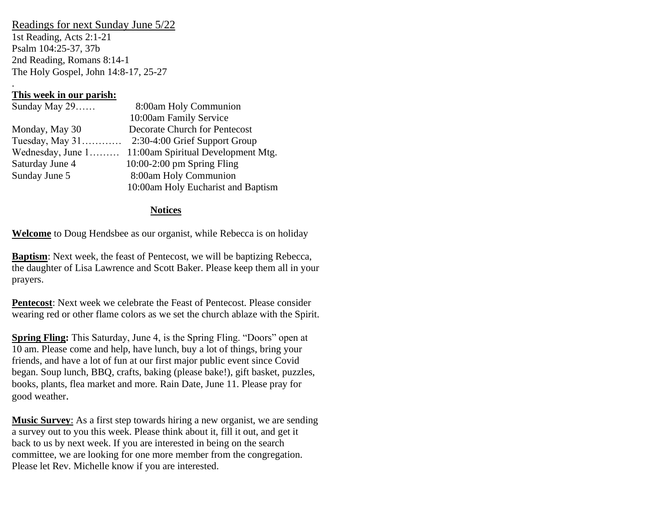#### Readings for next Sunday June 5/22

1st Reading, Acts 2:1-21 Psalm 104:25-37, 37b 2nd Reading, Romans 8:14-1 The Holy Gospel, John 14:8-17, 25-27

## **This week in our parish:**

.

| Sunday May 29     | 8:00am Holy Communion                |
|-------------------|--------------------------------------|
|                   | 10:00am Family Service               |
| Monday, May 30    | <b>Decorate Church for Pentecost</b> |
|                   |                                      |
| Wednesday, June 1 | 11:00am Spiritual Development Mtg.   |
| Saturday June 4   | $10:00-2:00$ pm Spring Fling         |
| Sunday June 5     | 8:00am Holy Communion                |
|                   | 10:00am Holy Eucharist and Baptism   |

### **Notices**

**Welcome** to Doug Hendsbee as our organist, while Rebecca is on holiday

**Baptism**: Next week, the feast of Pentecost, we will be baptizing Rebecca, the daughter of Lisa Lawrence and Scott Baker. Please keep them all in your prayers.

**Pentecost**: Next week we celebrate the Feast of Pentecost. Please consider wearing red or other flame colors as we set the church ablaze with the Spirit.

**Spring Fling:** This Saturday, June 4, is the Spring Fling. "Doors" open at 10 am. Please come and help, have lunch, buy a lot of things, bring your friends, and have a lot of fun at our first major public event since Covid began. Soup lunch, BBQ, crafts, baking (please bake!), gift basket, puzzles, books, plants, flea market and more. Rain Date, June 11. Please pray for good weather.

**Music Survey**: As a first step towards hiring a new organist, we are sending a survey out to you this week. Please think about it, fill it out, and get it back to us by next week. If you are interested in being on the search committee, we are looking for one more member from the congregation. Please let Rev. Michelle know if you are interested.